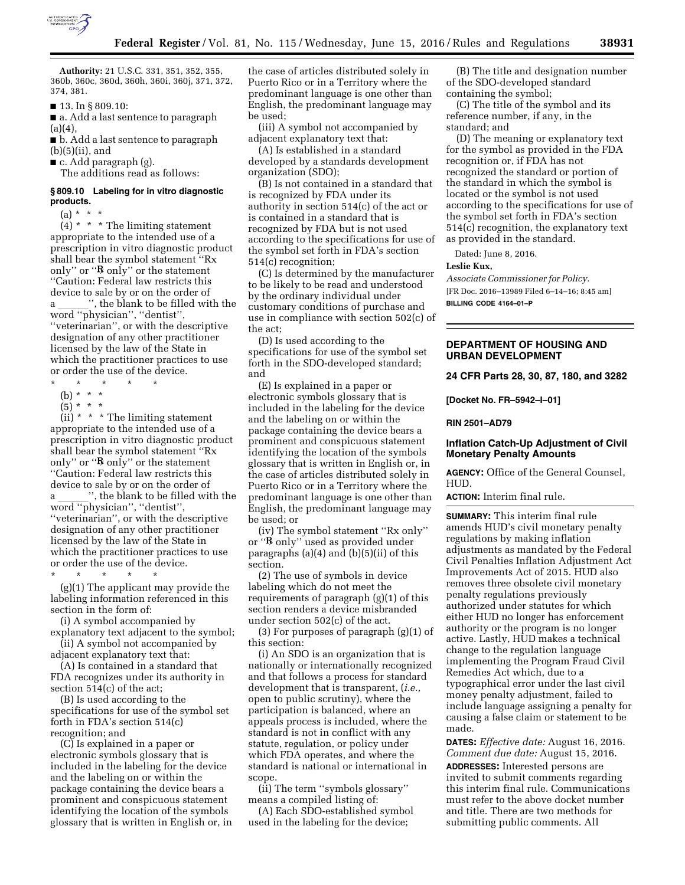

**Authority:** 21 U.S.C. 331, 351, 352, 355, 360b, 360c, 360d, 360h, 360i, 360j, 371, 372, 374, 381.

■ 13. In § 809.10:

■ a. Add a last sentence to paragraph  $(a)(4),$ 

■ b. Add a last sentence to paragraph (b)(5)(ii), and

 $\blacksquare$  c. Add paragraph (g).

The additions read as follows:

### **§ 809.10 Labeling for in vitro diagnostic products.**

 $(a) * * * *$ 

 $(4)$  \* \* \* The limiting statement appropriate to the intended use of a prescription in vitro diagnostic product shall bear the symbol statement ''Rx only" or " $\mathbb{R}$  only" or the statement ''Caution: Federal law restricts this device to sale by or on the order of a  $\ldots$ , the blank to be filled with the word ''physician'', ''dentist'', ''veterinarian'', or with the descriptive designation of any other practitioner licensed by the law of the State in which the practitioner practices to use or order the use of the device.

- $\star$   $\qquad$   $\star$   $\qquad$   $\star$
- (b) \* \* \*
- $(5) * * * *$

(ii)  $*$   $*$   $*$  The limiting statement appropriate to the intended use of a prescription in vitro diagnostic product shall bear the symbol statement ''Rx only" or " $\mathbb{R}$  only" or the statement ''Caution: Federal law restricts this device to sale by or on the order of a  $\ldots$ , the blank to be filled with the word ''physician'', ''dentist'', ''veterinarian'', or with the descriptive designation of any other practitioner licensed by the law of the State in which the practitioner practices to use or order the use of the device.

\* \* \* \* \* (g)(1) The applicant may provide the labeling information referenced in this section in the form of:

(i) A symbol accompanied by explanatory text adjacent to the symbol;

(ii) A symbol not accompanied by

adjacent explanatory text that: (A) Is contained in a standard that FDA recognizes under its authority in section 514(c) of the act;

(B) Is used according to the specifications for use of the symbol set forth in FDA's section 514(c) recognition; and

(C) Is explained in a paper or electronic symbols glossary that is included in the labeling for the device and the labeling on or within the package containing the device bears a prominent and conspicuous statement identifying the location of the symbols glossary that is written in English or, in the case of articles distributed solely in Puerto Rico or in a Territory where the predominant language is one other than English, the predominant language may be used;

(iii) A symbol not accompanied by adjacent explanatory text that:

(A) Is established in a standard developed by a standards development organization (SDO);

(B) Is not contained in a standard that is recognized by FDA under its authority in section 514(c) of the act or is contained in a standard that is recognized by FDA but is not used according to the specifications for use of the symbol set forth in FDA's section 514(c) recognition;

(C) Is determined by the manufacturer to be likely to be read and understood by the ordinary individual under customary conditions of purchase and use in compliance with section 502(c) of the act;

(D) Is used according to the specifications for use of the symbol set forth in the SDO-developed standard; and

(E) Is explained in a paper or electronic symbols glossary that is included in the labeling for the device and the labeling on or within the package containing the device bears a prominent and conspicuous statement identifying the location of the symbols glossary that is written in English or, in the case of articles distributed solely in Puerto Rico or in a Territory where the predominant language is one other than English, the predominant language may be used; or

(iv) The symbol statement ''Rx only'' or "R only" used as provided under paragraphs (a)(4) and (b)(5)(ii) of this section.

(2) The use of symbols in device labeling which do not meet the requirements of paragraph (g)(1) of this section renders a device misbranded under section 502(c) of the act.

(3) For purposes of paragraph (g)(1) of this section:

(i) An SDO is an organization that is nationally or internationally recognized and that follows a process for standard development that is transparent, (*i.e.,*  open to public scrutiny), where the participation is balanced, where an appeals process is included, where the standard is not in conflict with any statute, regulation, or policy under which FDA operates, and where the standard is national or international in scope.

(ii) The term ''symbols glossary'' means a compiled listing of:

(A) Each SDO-established symbol used in the labeling for the device;

(B) The title and designation number of the SDO-developed standard containing the symbol;

(C) The title of the symbol and its reference number, if any, in the standard; and

(D) The meaning or explanatory text for the symbol as provided in the FDA recognition or, if FDA has not recognized the standard or portion of the standard in which the symbol is located or the symbol is not used according to the specifications for use of the symbol set forth in FDA's section 514(c) recognition, the explanatory text as provided in the standard.

Dated: June 8, 2016.

#### **Leslie Kux,**

*Associate Commissioner for Policy.*  [FR Doc. 2016–13989 Filed 6–14–16; 8:45 am] **BILLING CODE 4164–01–P** 

# **DEPARTMENT OF HOUSING AND URBAN DEVELOPMENT**

**24 CFR Parts 28, 30, 87, 180, and 3282** 

**[Docket No. FR–5942–I–01]** 

**RIN 2501–AD79** 

### **Inflation Catch-Up Adjustment of Civil Monetary Penalty Amounts**

**AGENCY:** Office of the General Counsel, HUD.

**ACTION:** Interim final rule.

**SUMMARY:** This interim final rule amends HUD's civil monetary penalty regulations by making inflation adjustments as mandated by the Federal Civil Penalties Inflation Adjustment Act Improvements Act of 2015. HUD also removes three obsolete civil monetary penalty regulations previously authorized under statutes for which either HUD no longer has enforcement authority or the program is no longer active. Lastly, HUD makes a technical change to the regulation language implementing the Program Fraud Civil Remedies Act which, due to a typographical error under the last civil money penalty adjustment, failed to include language assigning a penalty for causing a false claim or statement to be made.

**DATES:** *Effective date:* August 16, 2016. *Comment due date:* August 15, 2016.

**ADDRESSES:** Interested persons are invited to submit comments regarding this interim final rule. Communications must refer to the above docket number and title. There are two methods for submitting public comments. All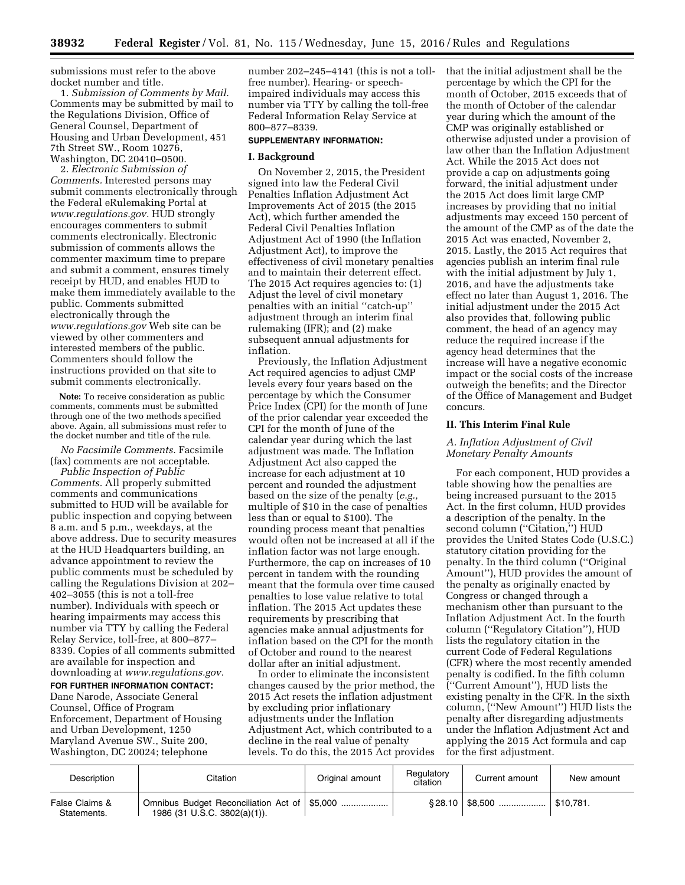submissions must refer to the above docket number and title.

1. *Submission of Comments by Mail.*  Comments may be submitted by mail to the Regulations Division, Office of General Counsel, Department of Housing and Urban Development, 451 7th Street SW., Room 10276, Washington, DC 20410–0500.

2. *Electronic Submission of Comments.* Interested persons may submit comments electronically through the Federal eRulemaking Portal at *[www.regulations.gov.](http://www.regulations.gov)* HUD strongly encourages commenters to submit comments electronically. Electronic submission of comments allows the commenter maximum time to prepare and submit a comment, ensures timely receipt by HUD, and enables HUD to make them immediately available to the public. Comments submitted electronically through the *[www.regulations.gov](http://www.regulations.gov)* Web site can be viewed by other commenters and interested members of the public. Commenters should follow the instructions provided on that site to submit comments electronically.

**Note:** To receive consideration as public comments, comments must be submitted through one of the two methods specified above. Again, all submissions must refer to the docket number and title of the rule.

*No Facsimile Comments.* Facsimile (fax) comments are not acceptable.

*Public Inspection of Public Comments.* All properly submitted comments and communications submitted to HUD will be available for public inspection and copying between 8 a.m. and 5 p.m., weekdays, at the above address. Due to security measures at the HUD Headquarters building, an advance appointment to review the public comments must be scheduled by calling the Regulations Division at 202– 402–3055 (this is not a toll-free number). Individuals with speech or hearing impairments may access this number via TTY by calling the Federal Relay Service, toll-free, at 800–877– 8339. Copies of all comments submitted are available for inspection and downloading at *[www.regulations.gov.](http://www.regulations.gov)* 

**FOR FURTHER INFORMATION CONTACT:**  Dane Narode, Associate General Counsel, Office of Program Enforcement, Department of Housing and Urban Development, 1250 Maryland Avenue SW., Suite 200, Washington, DC 20024; telephone

number 202–245–4141 (this is not a tollfree number). Hearing- or speechimpaired individuals may access this number via TTY by calling the toll-free Federal Information Relay Service at 800–877–8339.

#### **SUPPLEMENTARY INFORMATION:**

# **I. Background**

On November 2, 2015, the President signed into law the Federal Civil Penalties Inflation Adjustment Act Improvements Act of 2015 (the 2015 Act), which further amended the Federal Civil Penalties Inflation Adjustment Act of 1990 (the Inflation Adjustment Act), to improve the effectiveness of civil monetary penalties and to maintain their deterrent effect. The 2015 Act requires agencies to: (1) Adjust the level of civil monetary penalties with an initial ''catch-up'' adjustment through an interim final rulemaking (IFR); and (2) make subsequent annual adjustments for inflation.

Previously, the Inflation Adjustment Act required agencies to adjust CMP levels every four years based on the percentage by which the Consumer Price Index (CPI) for the month of June of the prior calendar year exceeded the CPI for the month of June of the calendar year during which the last adjustment was made. The Inflation Adjustment Act also capped the increase for each adjustment at 10 percent and rounded the adjustment based on the size of the penalty (*e.g.,*  multiple of \$10 in the case of penalties less than or equal to \$100). The rounding process meant that penalties would often not be increased at all if the inflation factor was not large enough. Furthermore, the cap on increases of 10 percent in tandem with the rounding meant that the formula over time caused penalties to lose value relative to total inflation. The 2015 Act updates these requirements by prescribing that agencies make annual adjustments for inflation based on the CPI for the month of October and round to the nearest dollar after an initial adjustment.

In order to eliminate the inconsistent changes caused by the prior method, the 2015 Act resets the inflation adjustment by excluding prior inflationary adjustments under the Inflation Adjustment Act, which contributed to a decline in the real value of penalty levels. To do this, the 2015 Act provides

that the initial adjustment shall be the percentage by which the CPI for the month of October, 2015 exceeds that of the month of October of the calendar year during which the amount of the CMP was originally established or otherwise adjusted under a provision of law other than the Inflation Adjustment Act. While the 2015 Act does not provide a cap on adjustments going forward, the initial adjustment under the 2015 Act does limit large CMP increases by providing that no initial adjustments may exceed 150 percent of the amount of the CMP as of the date the 2015 Act was enacted, November 2, 2015. Lastly, the 2015 Act requires that agencies publish an interim final rule with the initial adjustment by July 1, 2016, and have the adjustments take effect no later than August 1, 2016. The initial adjustment under the 2015 Act also provides that, following public comment, the head of an agency may reduce the required increase if the agency head determines that the increase will have a negative economic impact or the social costs of the increase outweigh the benefits; and the Director of the Office of Management and Budget concurs.

#### **II. This Interim Final Rule**

# *A. Inflation Adjustment of Civil Monetary Penalty Amounts*

For each component, HUD provides a table showing how the penalties are being increased pursuant to the 2015 Act. In the first column, HUD provides a description of the penalty. In the second column ("Citation,") HUD provides the United States Code (U.S.C.) statutory citation providing for the penalty. In the third column (''Original Amount''), HUD provides the amount of the penalty as originally enacted by Congress or changed through a mechanism other than pursuant to the Inflation Adjustment Act. In the fourth column (''Regulatory Citation''), HUD lists the regulatory citation in the current Code of Federal Regulations (CFR) where the most recently amended penalty is codified. In the fifth column (''Current Amount''), HUD lists the existing penalty in the CFR. In the sixth column, (''New Amount'') HUD lists the penalty after disregarding adjustments under the Inflation Adjustment Act and applying the 2015 Act formula and cap for the first adjustment.

| Description                   | Citation                     | Original amount | Regulatory<br>citation | Current amount | New amount |
|-------------------------------|------------------------------|-----------------|------------------------|----------------|------------|
| False Claims &<br>Statements. | 1986 (31 U.S.C. 3802(a)(1)). |                 |                        |                | \$10.781.  |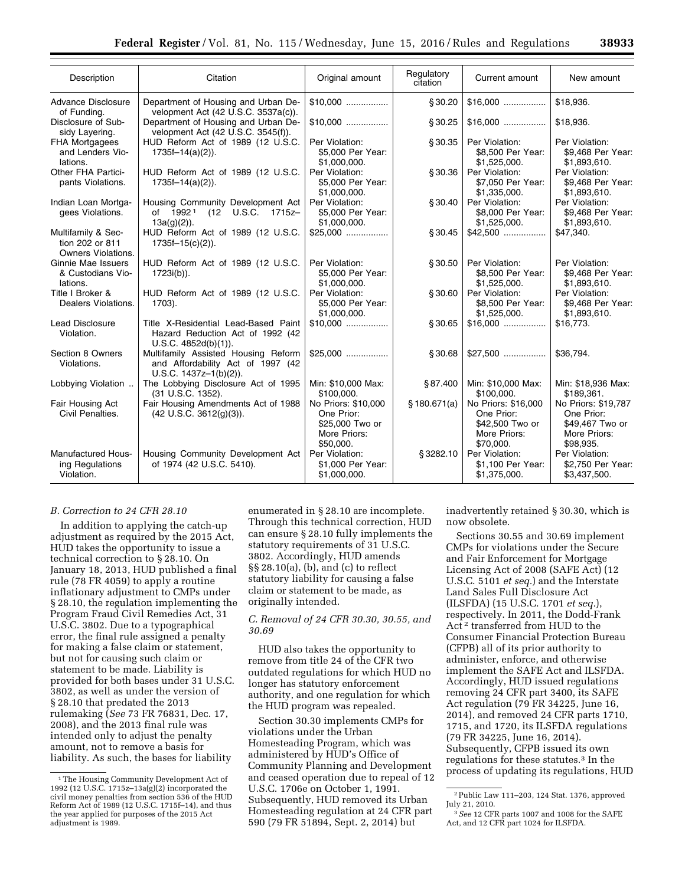| Description                                                        | Citation                                                                                              | Original amount                                                                   | Regulatory<br>citation | Current amount                                                                    | New amount                                                                        |
|--------------------------------------------------------------------|-------------------------------------------------------------------------------------------------------|-----------------------------------------------------------------------------------|------------------------|-----------------------------------------------------------------------------------|-----------------------------------------------------------------------------------|
| <b>Advance Disclosure</b><br>of Funding.                           | Department of Housing and Urban De-<br>velopment Act (42 U.S.C. 3537a(c)).                            | $$10.000$                                                                         | §30.20                 | $$16,000$                                                                         | \$18,936.                                                                         |
| Disclosure of Sub-<br>sidy Layering.                               | Department of Housing and Urban De-<br>velopment Act (42 U.S.C. 3545(f)).                             | $$10.000$                                                                         | §30.25                 | $$16,000$                                                                         | \$18,936.                                                                         |
| <b>FHA Mortgagees</b><br>and Lenders Vio-<br>lations.              | HUD Reform Act of 1989 (12 U.S.C.<br>$1735f - 14(a)(2)$ ).                                            | Per Violation:<br>\$5,000 Per Year:<br>\$1.000.000.                               | §30.35                 | Per Violation:<br>\$8,500 Per Year:<br>\$1.525.000.                               | Per Violation:<br>\$9,468 Per Year:<br>\$1.893.610.                               |
| Other FHA Partici-<br>pants Violations.                            | HUD Reform Act of 1989 (12 U.S.C.<br>$1735f - 14(a)(2)$ ).                                            | Per Violation:<br>\$5,000 Per Year:<br>\$1,000,000.                               | \$30.36                | Per Violation:<br>\$7,050 Per Year:<br>\$1,335,000.                               | Per Violation:<br>\$9.468 Per Year:<br>\$1,893,610.                               |
| Indian Loan Mortga-<br>gees Violations.                            | Housing Community Development Act<br>of 1992 <sup>1</sup> (12 U.S.C. 1715z-<br>$13a(g)(2)$ ).         | Per Violation:<br>\$5,000 Per Year:<br>\$1,000,000.                               | §30.40                 | Per Violation:<br>\$8,000 Per Year:<br>\$1,525,000.                               | Per Violation:<br>\$9,468 Per Year:<br>\$1,893,610.                               |
| Multifamily & Sec-<br>tion 202 or 811<br><b>Owners Violations.</b> | HUD Reform Act of 1989 (12 U.S.C.<br>$1735f-15(c)(2)$ ).                                              | $$25.000$                                                                         | § 30.45                | $$42,500$                                                                         | \$47,340.                                                                         |
| Ginnie Mae Issuers<br>& Custodians Vio-<br>lations.                | HUD Reform Act of 1989 (12 U.S.C.<br>1723i(b)).                                                       | Per Violation:<br>\$5,000 Per Year:<br>\$1,000,000.                               | \$30.50                | Per Violation:<br>\$8,500 Per Year:<br>\$1,525,000.                               | Per Violation:<br>\$9,468 Per Year:<br>\$1,893,610.                               |
| Title I Broker &<br>Dealers Violations.                            | HUD Reform Act of 1989 (12 U.S.C.<br>1703).                                                           | Per Violation:<br>\$5,000 Per Year:<br>\$1,000,000.                               | §30.60                 | Per Violation:<br>\$8,500 Per Year:<br>\$1,525,000.                               | Per Violation:<br>\$9.468 Per Year:<br>\$1,893,610.                               |
| <b>Lead Disclosure</b><br>Violation.                               | Title X-Residential Lead-Based Paint<br>Hazard Reduction Act of 1992 (42)<br>U.S.C. 4852d(b)(1)).     | $$10.000$                                                                         | \$30.65                | $$16,000$                                                                         | \$16,773.                                                                         |
| Section 8 Owners<br>Violations.                                    | Multifamily Assisted Housing Reform<br>and Affordability Act of 1997 (42<br>$U.S.C. 1437z-1(b)(2)$ ). | $$25,000$                                                                         | § 30.68                |                                                                                   | \$36,794.                                                                         |
| Lobbying Violation                                                 | The Lobbying Disclosure Act of 1995<br>(31 U.S.C. 1352).                                              | Min: \$10,000 Max:<br>\$100,000.                                                  | §87.400                | Min: \$10,000 Max:<br>\$100,000.                                                  | Min: \$18,936 Max:<br>\$189,361.                                                  |
| Fair Housing Act<br>Civil Penalties.                               | Fair Housing Amendments Act of 1988<br>$(42 \text{ U.S.C. } 3612(g)(3))$ .                            | No Priors: \$10,000<br>One Prior:<br>\$25,000 Two or<br>More Priors:<br>\$50,000. | \$180.671(a)           | No Priors: \$16,000<br>One Prior:<br>\$42,500 Two or<br>More Priors:<br>\$70,000. | No Priors: \$19,787<br>One Prior:<br>\$49,467 Two or<br>More Priors:<br>\$98,935. |
| <b>Manufactured Hous-</b><br>ing Regulations<br>Violation.         | Housing Community Development Act<br>of 1974 (42 U.S.C. 5410).                                        | Per Violation:<br>\$1,000 Per Year:<br>\$1,000,000.                               | §3282.10               | Per Violation:<br>\$1,100 Per Year:<br>\$1,375,000.                               | Per Violation:<br>\$2,750 Per Year:<br>\$3,437,500.                               |

## *B. Correction to 24 CFR 28.10*

In addition to applying the catch-up adjustment as required by the 2015 Act, HUD takes the opportunity to issue a technical correction to § 28.10. On January 18, 2013, HUD published a final rule (78 FR 4059) to apply a routine inflationary adjustment to CMPs under § 28.10, the regulation implementing the Program Fraud Civil Remedies Act, 31 U.S.C. 3802. Due to a typographical error, the final rule assigned a penalty for making a false claim or statement, but not for causing such claim or statement to be made. Liability is provided for both bases under 31 U.S.C. 3802, as well as under the version of § 28.10 that predated the 2013 rulemaking (*See* 73 FR 76831, Dec. 17, 2008), and the 2013 final rule was intended only to adjust the penalty amount, not to remove a basis for liability. As such, the bases for liability

enumerated in § 28.10 are incomplete. Through this technical correction, HUD can ensure § 28.10 fully implements the statutory requirements of 31 U.S.C. 3802. Accordingly, HUD amends §§ 28.10(a), (b), and (c) to reflect statutory liability for causing a false claim or statement to be made, as originally intended.

# *C. Removal of 24 CFR 30.30, 30.55, and 30.69*

HUD also takes the opportunity to remove from title 24 of the CFR two outdated regulations for which HUD no longer has statutory enforcement authority, and one regulation for which the HUD program was repealed.

Section 30.30 implements CMPs for violations under the Urban Homesteading Program, which was administered by HUD's Office of Community Planning and Development and ceased operation due to repeal of 12 U.S.C. 1706e on October 1, 1991. Subsequently, HUD removed its Urban Homesteading regulation at 24 CFR part 590 (79 FR 51894, Sept. 2, 2014) but

inadvertently retained § 30.30, which is now obsolete.

Sections 30.55 and 30.69 implement CMPs for violations under the Secure and Fair Enforcement for Mortgage Licensing Act of 2008 (SAFE Act) (12 U.S.C. 5101 *et seq.*) and the Interstate Land Sales Full Disclosure Act (ILSFDA) (15 U.S.C. 1701 *et seq.*), respectively. In 2011, the Dodd-Frank Act 2 transferred from HUD to the Consumer Financial Protection Bureau (CFPB) all of its prior authority to administer, enforce, and otherwise implement the SAFE Act and ILSFDA. Accordingly, HUD issued regulations removing 24 CFR part 3400, its SAFE Act regulation (79 FR 34225, June 16, 2014), and removed 24 CFR parts 1710, 1715, and 1720, its ILSFDA regulations (79 FR 34225, June 16, 2014). Subsequently, CFPB issued its own regulations for these statutes.3 In the process of updating its regulations, HUD

<sup>1</sup>The Housing Community Development Act of 1992 (12 U.S.C. 1715z–13a(g)(2) incorporated the civil money penalties from section 536 of the HUD Reform Act of 1989 (12 U.S.C. 1715f–14), and thus the year applied for purposes of the 2015 Act adjustment is 1989.

<sup>2</sup>Public Law 111–203, 124 Stat. 1376, approved July 21, 2010.

<sup>3</sup>*See* 12 CFR parts 1007 and 1008 for the SAFE Act, and 12 CFR part 1024 for ILSFDA.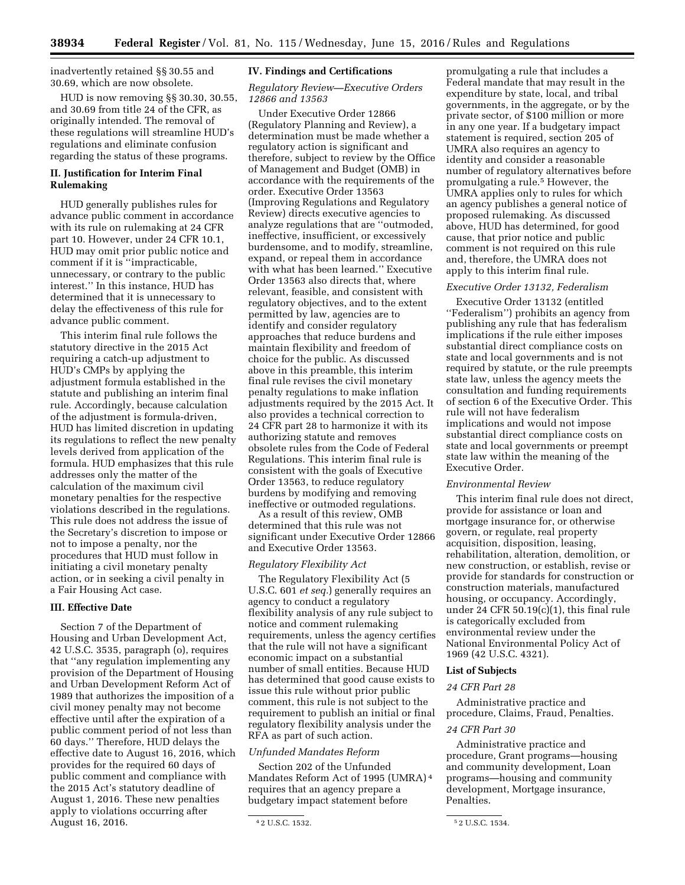inadvertently retained §§ 30.55 and 30.69, which are now obsolete.

HUD is now removing §§ 30.30, 30.55, and 30.69 from title 24 of the CFR, as originally intended. The removal of these regulations will streamline HUD's regulations and eliminate confusion regarding the status of these programs.

# **II. Justification for Interim Final Rulemaking**

HUD generally publishes rules for advance public comment in accordance with its rule on rulemaking at 24 CFR part 10. However, under 24 CFR 10.1, HUD may omit prior public notice and comment if it is ''impracticable, unnecessary, or contrary to the public interest.'' In this instance, HUD has determined that it is unnecessary to delay the effectiveness of this rule for advance public comment.

This interim final rule follows the statutory directive in the 2015 Act requiring a catch-up adjustment to HUD's CMPs by applying the adjustment formula established in the statute and publishing an interim final rule. Accordingly, because calculation of the adjustment is formula-driven, HUD has limited discretion in updating its regulations to reflect the new penalty levels derived from application of the formula. HUD emphasizes that this rule addresses only the matter of the calculation of the maximum civil monetary penalties for the respective violations described in the regulations. This rule does not address the issue of the Secretary's discretion to impose or not to impose a penalty, nor the procedures that HUD must follow in initiating a civil monetary penalty action, or in seeking a civil penalty in a Fair Housing Act case.

# **III. Effective Date**

Section 7 of the Department of Housing and Urban Development Act, 42 U.S.C. 3535, paragraph (o), requires that ''any regulation implementing any provision of the Department of Housing and Urban Development Reform Act of 1989 that authorizes the imposition of a civil money penalty may not become effective until after the expiration of a public comment period of not less than 60 days.'' Therefore, HUD delays the effective date to August 16, 2016, which provides for the required 60 days of public comment and compliance with the 2015 Act's statutory deadline of August 1, 2016. These new penalties apply to violations occurring after August 16, 2016.

#### **IV. Findings and Certifications**

## *Regulatory Review—Executive Orders 12866 and 13563*

Under Executive Order 12866 (Regulatory Planning and Review), a determination must be made whether a regulatory action is significant and therefore, subject to review by the Office of Management and Budget (OMB) in accordance with the requirements of the order. Executive Order 13563 (Improving Regulations and Regulatory Review) directs executive agencies to analyze regulations that are ''outmoded, ineffective, insufficient, or excessively burdensome, and to modify, streamline, expand, or repeal them in accordance with what has been learned.'' Executive Order 13563 also directs that, where relevant, feasible, and consistent with regulatory objectives, and to the extent permitted by law, agencies are to identify and consider regulatory approaches that reduce burdens and maintain flexibility and freedom of choice for the public. As discussed above in this preamble, this interim final rule revises the civil monetary penalty regulations to make inflation adjustments required by the 2015 Act. It also provides a technical correction to 24 CFR part 28 to harmonize it with its authorizing statute and removes obsolete rules from the Code of Federal Regulations. This interim final rule is consistent with the goals of Executive Order 13563, to reduce regulatory burdens by modifying and removing ineffective or outmoded regulations.

As a result of this review, OMB determined that this rule was not significant under Executive Order 12866 and Executive Order 13563.

#### *Regulatory Flexibility Act*

The Regulatory Flexibility Act (5 U.S.C. 601 *et seq.*) generally requires an agency to conduct a regulatory flexibility analysis of any rule subject to notice and comment rulemaking requirements, unless the agency certifies that the rule will not have a significant economic impact on a substantial number of small entities. Because HUD has determined that good cause exists to issue this rule without prior public comment, this rule is not subject to the requirement to publish an initial or final regulatory flexibility analysis under the RFA as part of such action.

#### *Unfunded Mandates Reform*

Section 202 of the Unfunded Mandates Reform Act of 1995 (UMRA) 4 requires that an agency prepare a budgetary impact statement before

promulgating a rule that includes a Federal mandate that may result in the expenditure by state, local, and tribal governments, in the aggregate, or by the private sector, of \$100 million or more in any one year. If a budgetary impact statement is required, section 205 of UMRA also requires an agency to identity and consider a reasonable number of regulatory alternatives before promulgating a rule.5 However, the UMRA applies only to rules for which an agency publishes a general notice of proposed rulemaking. As discussed above, HUD has determined, for good cause, that prior notice and public comment is not required on this rule and, therefore, the UMRA does not apply to this interim final rule.

# *Executive Order 13132, Federalism*

Executive Order 13132 (entitled ''Federalism'') prohibits an agency from publishing any rule that has federalism implications if the rule either imposes substantial direct compliance costs on state and local governments and is not required by statute, or the rule preempts state law, unless the agency meets the consultation and funding requirements of section 6 of the Executive Order. This rule will not have federalism implications and would not impose substantial direct compliance costs on state and local governments or preempt state law within the meaning of the Executive Order.

## *Environmental Review*

This interim final rule does not direct, provide for assistance or loan and mortgage insurance for, or otherwise govern, or regulate, real property acquisition, disposition, leasing, rehabilitation, alteration, demolition, or new construction, or establish, revise or provide for standards for construction or construction materials, manufactured housing, or occupancy. Accordingly, under 24 CFR 50.19(c)(1), this final rule is categorically excluded from environmental review under the National Environmental Policy Act of 1969 (42 U.S.C. 4321).

#### **List of Subjects**

#### *24 CFR Part 28*

Administrative practice and procedure, Claims, Fraud, Penalties.

# *24 CFR Part 30*

Administrative practice and procedure, Grant programs—housing and community development, Loan programs—housing and community development, Mortgage insurance, Penalties.

<sup>4</sup> 2 U.S.C. 1532. 5 2 U.S.C. 1534.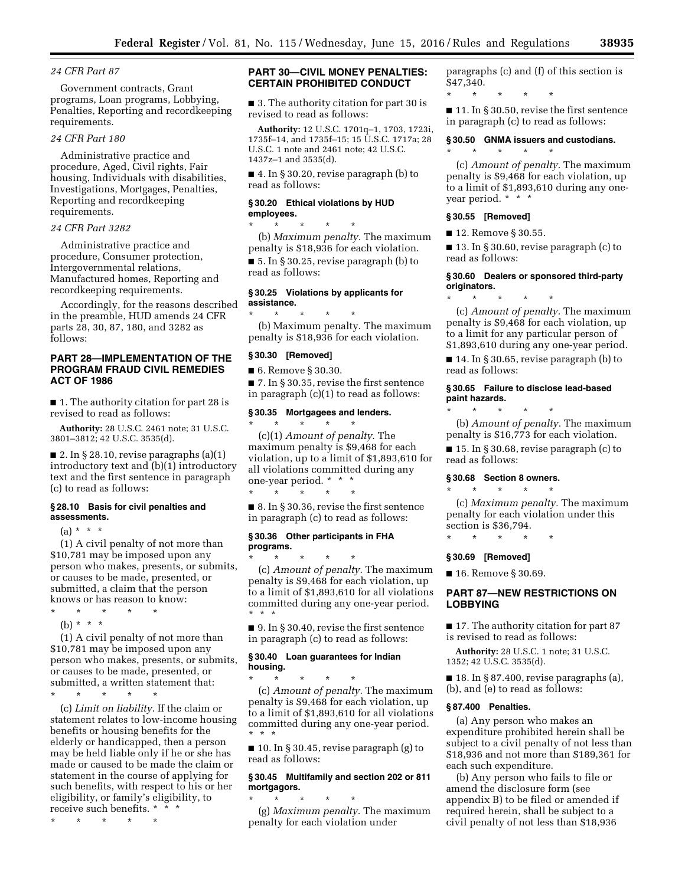# *24 CFR Part 87*

Government contracts, Grant programs, Loan programs, Lobbying, Penalties, Reporting and recordkeeping requirements.

### *24 CFR Part 180*

Administrative practice and procedure, Aged, Civil rights, Fair housing, Individuals with disabilities, Investigations, Mortgages, Penalties, Reporting and recordkeeping requirements.

#### *24 CFR Part 3282*

Administrative practice and procedure, Consumer protection, Intergovernmental relations, Manufactured homes, Reporting and recordkeeping requirements.

Accordingly, for the reasons described in the preamble, HUD amends 24 CFR parts 28, 30, 87, 180, and 3282 as follows:

# **PART 28—IMPLEMENTATION OF THE PROGRAM FRAUD CIVIL REMEDIES ACT OF 1986**

■ 1. The authority citation for part 28 is revised to read as follows:

**Authority:** 28 U.S.C. 2461 note; 31 U.S.C. 3801–3812; 42 U.S.C. 3535(d).

■ 2. In § 28.10, revise paragraphs (a)(1) introductory text and (b)(1) introductory text and the first sentence in paragraph (c) to read as follows:

#### **§ 28.10 Basis for civil penalties and assessments.**

 $(a) * * * *$ 

(1) A civil penalty of not more than \$10,781 may be imposed upon any person who makes, presents, or submits, or causes to be made, presented, or submitted, a claim that the person knows or has reason to know: \* \* \* \* \*

(b) \* \* \*

(1) A civil penalty of not more than \$10,781 may be imposed upon any person who makes, presents, or submits, or causes to be made, presented, or submitted, a written statement that:

\* \* \* \* \*

(c) *Limit on liability.* If the claim or statement relates to low-income housing benefits or housing benefits for the elderly or handicapped, then a person may be held liable only if he or she has made or caused to be made the claim or statement in the course of applying for such benefits, with respect to his or her eligibility, or family's eligibility, to receive such benefits. \* \* \*

\* \* \* \* \*

# **PART 30—CIVIL MONEY PENALTIES: CERTAIN PROHIBITED CONDUCT**

■ 3. The authority citation for part 30 is revised to read as follows:

**Authority:** 12 U.S.C. 1701q–1, 1703, 1723i, 1735f–14, and 1735f–15; 15 U.S.C. 1717a; 28 U.S.C. 1 note and 2461 note; 42 U.S.C. 1437z–1 and 3535(d).

■ 4. In § 30.20, revise paragraph (b) to read as follows:

## **§ 30.20 Ethical violations by HUD employees.**

\* \* \* \* \* (b) *Maximum penalty.* The maximum penalty is \$18,936 for each violation. ■ 5. In § 30.25, revise paragraph (b) to read as follows:

# **§ 30.25 Violations by applicants for assistance.**

\* \* \* \* \* (b) Maximum penalty. The maximum penalty is \$18,936 for each violation.

#### **§ 30.30 [Removed]**

■ 6. Remove § 30.30.

■ 7. In § 30.35, revise the first sentence in paragraph (c)(1) to read as follows:

#### **§ 30.35 Mortgagees and lenders.**

\* \* \* \* \* (c)(1) *Amount of penalty.* The maximum penalty is \$9,468 for each violation, up to a limit of \$1,893,610 for all violations committed during any one-year period. \* \* \*

■ 8. In § 30.36, revise the first sentence in paragraph (c) to read as follows:

### **§ 30.36 Other participants in FHA programs.**

\* \* \* \* \*

\* \* \* \* \* (c) *Amount of penalty.* The maximum penalty is \$9,468 for each violation, up to a limit of \$1,893,610 for all violations committed during any one-year period. \* \* \*

■ 9. In § 30.40, revise the first sentence in paragraph (c) to read as follows:

#### **§ 30.40 Loan guarantees for Indian housing.**

\* \* \* \* \* (c) *Amount of penalty.* The maximum penalty is \$9,468 for each violation, up to a limit of \$1,893,610 for all violations committed during any one-year period. \* \* \*

■ 10. In § 30.45, revise paragraph (g) to read as follows:

# **§ 30.45 Multifamily and section 202 or 811 mortgagors.**

\* \* \* \* \* (g) *Maximum penalty.* The maximum penalty for each violation under

paragraphs (c) and (f) of this section is \$47,340.

\* \* \* \* \*

\* \* \* \* \*

■ 11. In § 30.50, revise the first sentence in paragraph (c) to read as follows:

### **§ 30.50 GNMA issuers and custodians.**

(c) *Amount of penalty.* The maximum penalty is \$9,468 for each violation, up to a limit of \$1,893,610 during any oneyear period. \* \* \*

## **§ 30.55 [Removed]**

■ 12. Remove § 30.55.

■ 13. In § 30.60, revise paragraph (c) to read as follows:

### **§ 30.60 Dealers or sponsored third-party originators.**

\* \* \* \* \* (c) *Amount of penalty.* The maximum penalty is \$9,468 for each violation, up to a limit for any particular person of \$1,893,610 during any one-year period.

■ 14. In § 30.65, revise paragraph (b) to read as follows:

# **§ 30.65 Failure to disclose lead-based paint hazards.**

\* \* \* \* \* (b) *Amount of penalty.* The maximum penalty is \$16,773 for each violation.

■ 15. In § 30.68, revise paragraph (c) to read as follows:

# **§ 30.68 Section 8 owners.**

\* \* \* \* \*

(c) *Maximum penalty.* The maximum penalty for each violation under this section is \$36,794.

\* \* \* \* \*

#### **§ 30.69 [Removed]**

■ 16. Remove § 30.69.

## **PART 87—NEW RESTRICTIONS ON LOBBYING**

■ 17. The authority citation for part 87 is revised to read as follows:

**Authority:** 28 U.S.C. 1 note; 31 U.S.C. 1352; 42 U.S.C. 3535(d).

 $\blacksquare$  18. In § 87.400, revise paragraphs (a), (b), and (e) to read as follows:

# **§ 87.400 Penalties.**

(a) Any person who makes an expenditure prohibited herein shall be subject to a civil penalty of not less than \$18,936 and not more than \$189,361 for each such expenditure.

(b) Any person who fails to file or amend the disclosure form (see appendix B) to be filed or amended if required herein, shall be subject to a civil penalty of not less than \$18,936